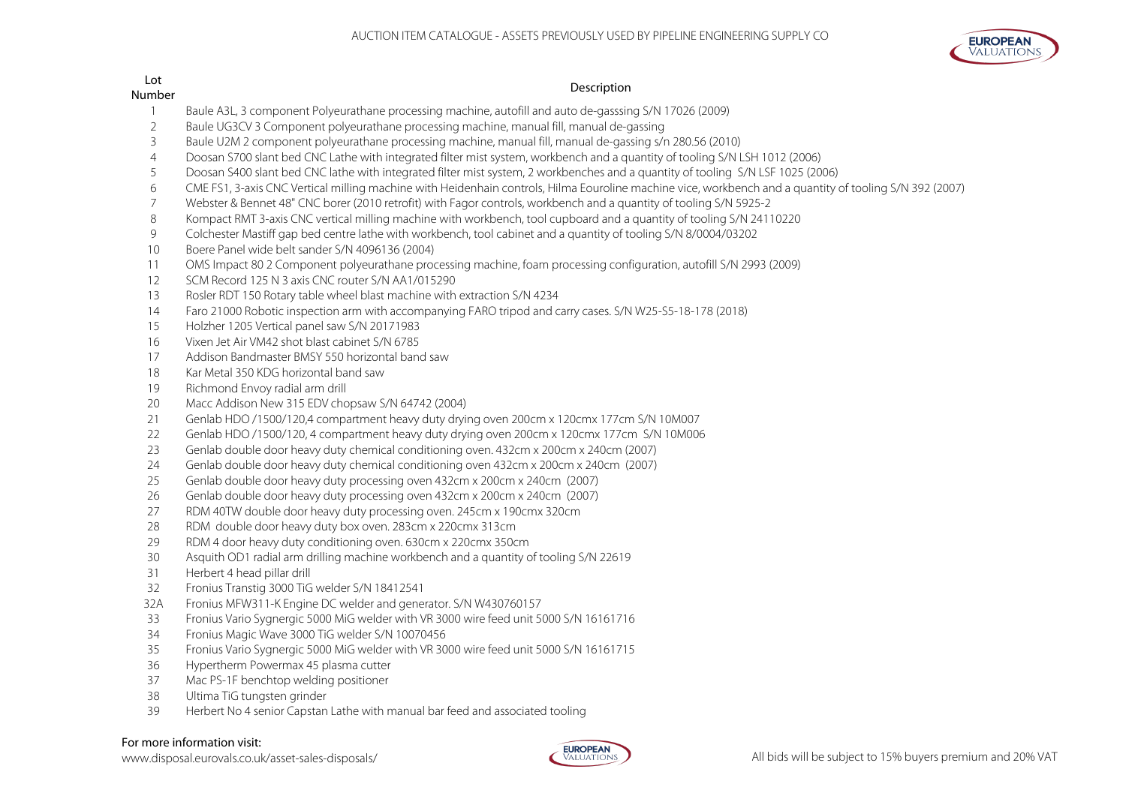

# $L$ ot

# number des anderes de la contracte de la contracte de la contracte de la contracte de la contracte de la contra<br>Description

- Baule A3L, 3 component Polyeurathane processing machine, autofill and auto de-gasssing S/N 17026 (2009)
- Baule UG3CV 3 Component polyeurathane processing machine, manual fill, manual de-gassing
- Baule U2M 2 component polyeurathane processing machine, manual fill, manual de-gassing s/n 280.56 (2010)
- Doosan S700 slant bed CNC Lathe with integrated filter mist system, workbench and a quantity of tooling S/N LSH 1012 (2006)
- Doosan S400 slant bed CNC lathe with integrated filter mist system, 2 workbenches and a quantity of tooling S/N LSF 1025 (2006)
- CME FS1, 3-axis CNC Vertical milling machine with Heidenhain controls, Hilma Eouroline machine vice, workbench and a quantity of tooling S/N 392 (2007)
- Webster & Bennet 48" CNC borer (2010 retrofit) with Fagor controls, workbench and a quantity of tooling S/N 5925-2
- Kompact RMT 3-axis CNC vertical milling machine with workbench, tool cupboard and a quantity of tooling S/N 24110220
- Colchester Mastiff gap bed centre lathe with workbench, tool cabinet and a quantity of tooling S/N 8/0004/03202
- Boere Panel wide belt sander S/N 4096136 (2004)
- OMS Impact 80 2 Component polyeurathane processing machine, foam processing configuration, autofill S/N 2993 (2009)
- SCM Record 125 N 3 axis CNC router S/N AA1/015290
- Rosler RDT 150 Rotary table wheel blast machine with extraction S/N 4234
- Faro 21000 Robotic inspection arm with accompanying FARO tripod and carry cases. S/N W25-S5-18-178 (2018)
- Holzher 1205 Vertical panel saw S/N 20171983
- Vixen Jet Air VM42 shot blast cabinet S/N 6785
- Addison Bandmaster BMSY 550 horizontal band saw
- 18 Kar Metal 350 KDG horizontal band saw
- Richmond Envoy radial arm drill
- Macc Addison New 315 EDV chopsaw S/N 64742 (2004)
- Genlab HDO /1500/120,4 compartment heavy duty drying oven 200cm x 120cmx 177cm S/N 10M007
- Genlab HDO /1500/120, 4 compartment heavy duty drying oven 200cm x 120cmx 177cm S/N 10M006
- Genlab double door heavy duty chemical conditioning oven. 432cm x 200cm x 240cm (2007)
- Genlab double door heavy duty chemical conditioning oven 432cm x 200cm x 240cm (2007)
- Genlab double door heavy duty processing oven 432cm x 200cm x 240cm (2007)
- Genlab double door heavy duty processing oven 432cm x 200cm x 240cm (2007)
- RDM 40TW double door heavy duty processing oven. 245cm x 190cmx 320cm
- RDM double door heavy duty box oven. 283cm x 220cmx 313cm
- RDM 4 door heavy duty conditioning oven. 630cm x 220cmx 350cm
- Asquith OD1 radial arm drilling machine workbench and a quantity of tooling S/N 22619
- Herbert 4 head pillar drill
- Fronius Transtig 3000 TiG welder S/N 18412541
- 32A Fronius MFW311-K Engine DC welder and generator. S/N W430760157
- Fronius Vario Sygnergic 5000 MiG welder with VR 3000 wire feed unit 5000 S/N 16161716
- Fronius Magic Wave 3000 TiG welder S/N 10070456
- Fronius Vario Sygnergic 5000 MiG welder with VR 3000 wire feed unit 5000 S/N 16161715
- Hypertherm Powermax 45 plasma cutter
- Mac PS-1F benchtop welding positioner
- Ultima TiG tungsten grinder
- Herbert No 4 senior Capstan Lathe with manual bar feed and associated tooling

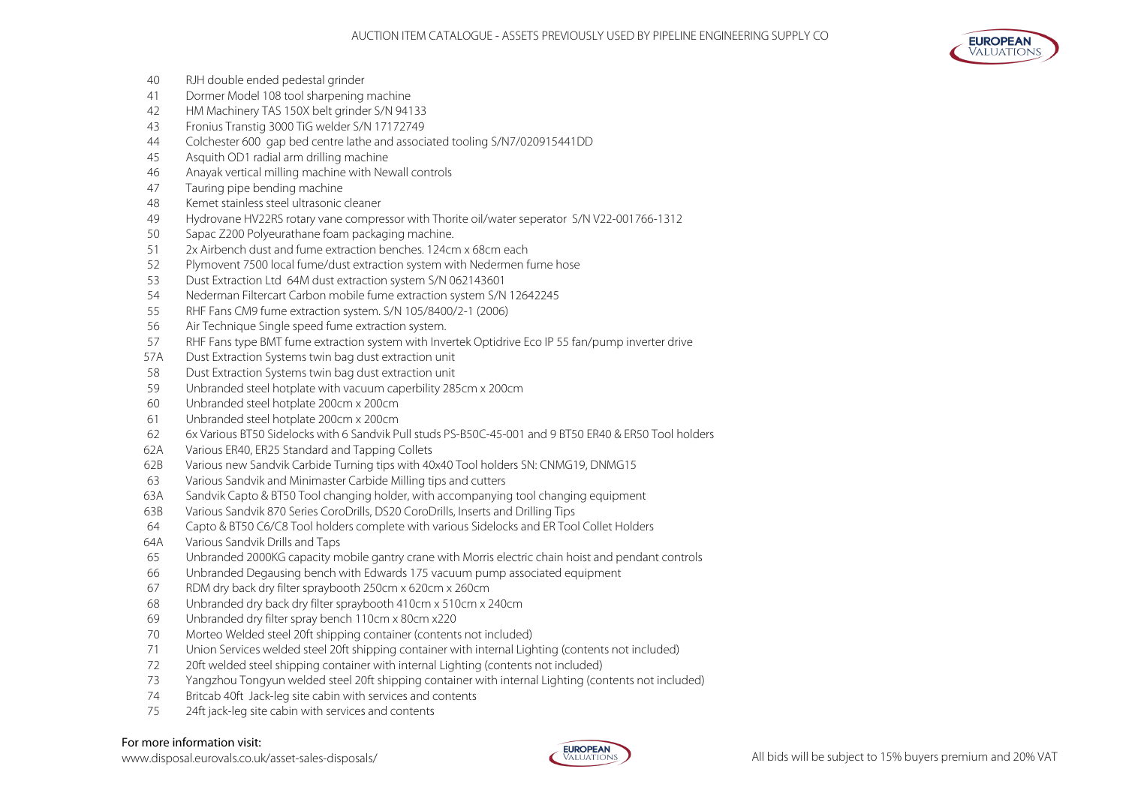

- RJH double ended pedestal grinder
- Dormer Model 108 tool sharpening machine
- HM Machinery TAS 150X belt grinder S/N 94133
- Fronius Transtig 3000 TiG welder S/N 17172749
- Colchester 600 gap bed centre lathe and associated tooling S/N7/020915441DD
- Asquith OD1 radial arm drilling machine
- Anayak vertical milling machine with Newall controls
- Tauring pipe bending machine
- Kemet stainless steel ultrasonic cleaner
- Hydrovane HV22RS rotary vane compressor with Thorite oil/water seperator S/N V22-001766-1312
- Sapac Z200 Polyeurathane foam packaging machine.
- 2x Airbench dust and fume extraction benches. 124cm x 68cm each
- Plymovent 7500 local fume/dust extraction system with Nedermen fume hose
- Dust Extraction Ltd 64M dust extraction system S/N 062143601
- Nederman Filtercart Carbon mobile fume extraction system S/N 12642245
- RHF Fans CM9 fume extraction system. S/N 105/8400/2-1 (2006)
- Air Technique Single speed fume extraction system.
- RHF Fans type BMT fume extraction system with Invertek Optidrive Eco IP 55 fan/pump inverter drive
- 57A Dust Extraction Systems twin bag dust extraction unit
- Dust Extraction Systems twin bag dust extraction unit
- Unbranded steel hotplate with vacuum caperbility 285cm x 200cm
- Unbranded steel hotplate 200cm x 200cm
- Unbranded steel hotplate 200cm x 200cm
- 6x Various BT50 Sidelocks with 6 Sandvik Pull studs PS-B50C-45-001 and 9 BT50 ER40 & ER50 Tool holders
- 62A Various ER40, ER25 Standard and Tapping Collets
- 62B Various new Sandvik Carbide Turning tips with 40x40 Tool holders SN: CNMG19, DNMG15
- Various Sandvik and Minimaster Carbide Milling tips and cutters
- 63A Sandvik Capto & BT50 Tool changing holder, with accompanying tool changing equipment
- 63B Various Sandvik 870 Series CoroDrills, DS20 CoroDrills, Inserts and Drilling Tips
- Capto & BT50 C6/C8 Tool holders complete with various Sidelocks and ER Tool Collet Holders
- 64A Various Sandvik Drills and Taps
- Unbranded 2000KG capacity mobile gantry crane with Morris electric chain hoist and pendant controls
- Unbranded Degausing bench with Edwards 175 vacuum pump associated equipment
- RDM dry back dry filter spraybooth 250cm x 620cm x 260cm
- Unbranded dry back dry filter spraybooth 410cm x 510cm x 240cm
- Unbranded dry filter spray bench 110cm x 80cm x220
- Morteo Welded steel 20ft shipping container (contents not included)
- Union Services welded steel 20ft shipping container with internal Lighting (contents not included)
- 20ft welded steel shipping container with internal Lighting (contents not included)
- Yangzhou Tongyun welded steel 20ft shipping container with internal Lighting (contents not included)
- Britcab 40ft Jack-leg site cabin with services and contents
- 24ft jack-leg site cabin with services and contents

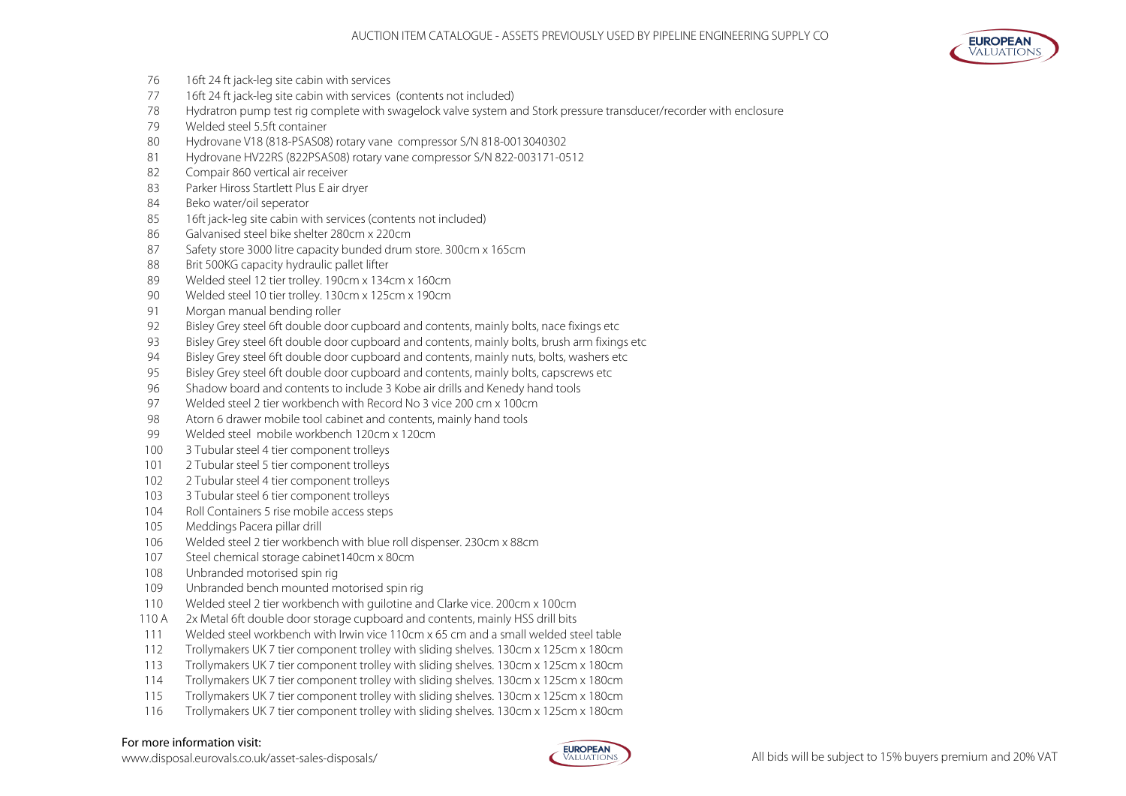

- 16ft 24 ft jack-leg site cabin with services
- 16ft 24 ft jack-leg site cabin with services (contents not included)
- Hydratron pump test rig complete with swagelock valve system and Stork pressure transducer/recorder with enclosure
- Welded steel 5.5ft container
- Hydrovane V18 (818-PSAS08) rotary vane compressor S/N 818-0013040302
- Hydrovane HV22RS (822PSAS08) rotary vane compressor S/N 822-003171-0512
- Compair 860 vertical air receiver
- Parker Hiross Startlett Plus E air dryer
- Beko water/oil seperator
- 16ft jack-leg site cabin with services (contents not included)
- Galvanised steel bike shelter 280cm x 220cm
- 87 Safety store 3000 litre capacity bunded drum store. 300cm x 165cm
- 88 Brit 500KG capacity hydraulic pallet lifter
- Welded steel 12 tier trolley. 190cm x 134cm x 160cm
- Welded steel 10 tier trolley. 130cm x 125cm x 190cm
- Morgan manual bending roller
- Bisley Grey steel 6ft double door cupboard and contents, mainly bolts, nace fixings etc
- Bisley Grey steel 6ft double door cupboard and contents, mainly bolts, brush arm fixings etc
- Bisley Grey steel 6ft double door cupboard and contents, mainly nuts, bolts, washers etc
- Bisley Grey steel 6ft double door cupboard and contents, mainly bolts, capscrews etc
- Shadow board and contents to include 3 Kobe air drills and Kenedy hand tools
- Welded steel 2 tier workbench with Record No 3 vice 200 cm x 100cm
- Atorn 6 drawer mobile tool cabinet and contents, mainly hand tools
- Welded steel mobile workbench 120cm x 120cm
- 100 3 Tubular steel 4 tier component trolleys
- 101 2 Tubular steel 5 tier component trolleys
- 2 Tubular steel 4 tier component trolleys
- 103 3 Tubular steel 6 tier component trolleys
- 104 Roll Containers 5 rise mobile access steps
- Meddings Pacera pillar drill
- Welded steel 2 tier workbench with blue roll dispenser. 230cm x 88cm
- Steel chemical storage cabinet140cm x 80cm
- Unbranded motorised spin rig
- Unbranded bench mounted motorised spin rig
- Welded steel 2 tier workbench with guilotine and Clarke vice. 200cm x 100cm
- 110 A 2x Metal 6ft double door storage cupboard and contents, mainly HSS drill bits
- Welded steel workbench with Irwin vice 110cm x 65 cm and a small welded steel table
- Trollymakers UK 7 tier component trolley with sliding shelves. 130cm x 125cm x 180cm
- Trollymakers UK 7 tier component trolley with sliding shelves. 130cm x 125cm x 180cm
- Trollymakers UK 7 tier component trolley with sliding shelves. 130cm x 125cm x 180cm
- Trollymakers UK 7 tier component trolley with sliding shelves. 130cm x 125cm x 180cm
- Trollymakers UK 7 tier component trolley with sliding shelves. 130cm x 125cm x 180cm

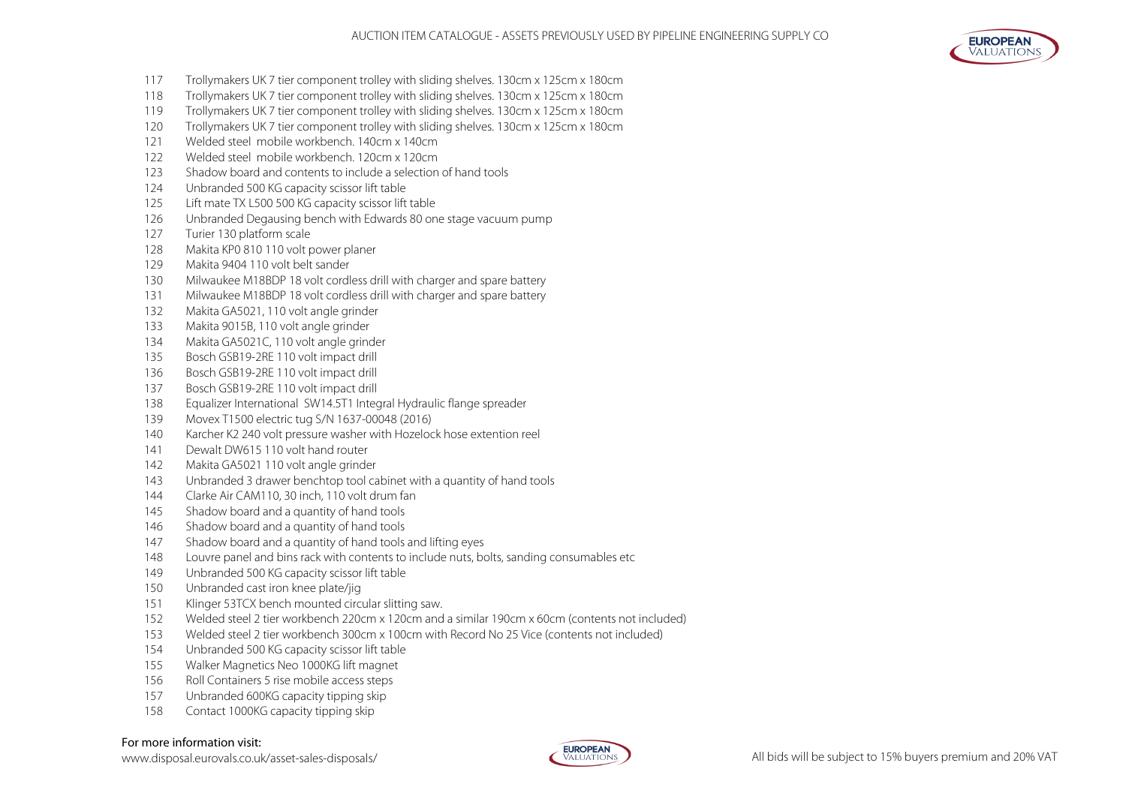

- Trollymakers UK 7 tier component trolley with sliding shelves. 130cm x 125cm x 180cm
- Trollymakers UK 7 tier component trolley with sliding shelves. 130cm x 125cm x 180cm
- Trollymakers UK 7 tier component trolley with sliding shelves. 130cm x 125cm x 180cm
- Trollymakers UK 7 tier component trolley with sliding shelves. 130cm x 125cm x 180cm
- Welded steel mobile workbench. 140cm x 140cm
- Welded steel mobile workbench. 120cm x 120cm
- Shadow board and contents to include a selection of hand tools
- Unbranded 500 KG capacity scissor lift table
- Lift mate TX L500 500 KG capacity scissor lift table
- Unbranded Degausing bench with Edwards 80 one stage vacuum pump
- Turier 130 platform scale
- Makita KP0 810 110 volt power planer
- Makita 9404 110 volt belt sander
- Milwaukee M18BDP 18 volt cordless drill with charger and spare battery
- Milwaukee M18BDP 18 volt cordless drill with charger and spare battery
- Makita GA5021, 110 volt angle grinder
- Makita 9015B, 110 volt angle grinder
- Makita GA5021C, 110 volt angle grinder
- Bosch GSB19-2RE 110 volt impact drill
- 136 Bosch GSB19-2RE 110 volt impact drill
- Bosch GSB19-2RE 110 volt impact drill
- Equalizer International SW14.5T1 Integral Hydraulic flange spreader
- Movex T1500 electric tug S/N 1637-00048 (2016)
- 140 Karcher K2 240 volt pressure washer with Hozelock hose extention reel
- 141 Dewalt DW615 110 volt hand router
- Makita GA5021 110 volt angle grinder
- Unbranded 3 drawer benchtop tool cabinet with a quantity of hand tools
- Clarke Air CAM110, 30 inch, 110 volt drum fan
- Shadow board and a quantity of hand tools
- 146 Shadow board and a quantity of hand tools
- 147 Shadow board and a quantity of hand tools and lifting eyes
- Louvre panel and bins rack with contents to include nuts, bolts, sanding consumables etc
- Unbranded 500 KG capacity scissor lift table
- Unbranded cast iron knee plate/jig
- Klinger 53TCX bench mounted circular slitting saw.
- Welded steel 2 tier workbench 220cm x 120cm and a similar 190cm x 60cm (contents not included)
- Welded steel 2 tier workbench 300cm x 100cm with Record No 25 Vice (contents not included)
- Unbranded 500 KG capacity scissor lift table
- Walker Magnetics Neo 1000KG lift magnet
- Roll Containers 5 rise mobile access steps
- Unbranded 600KG capacity tipping skip
- Contact 1000KG capacity tipping skip

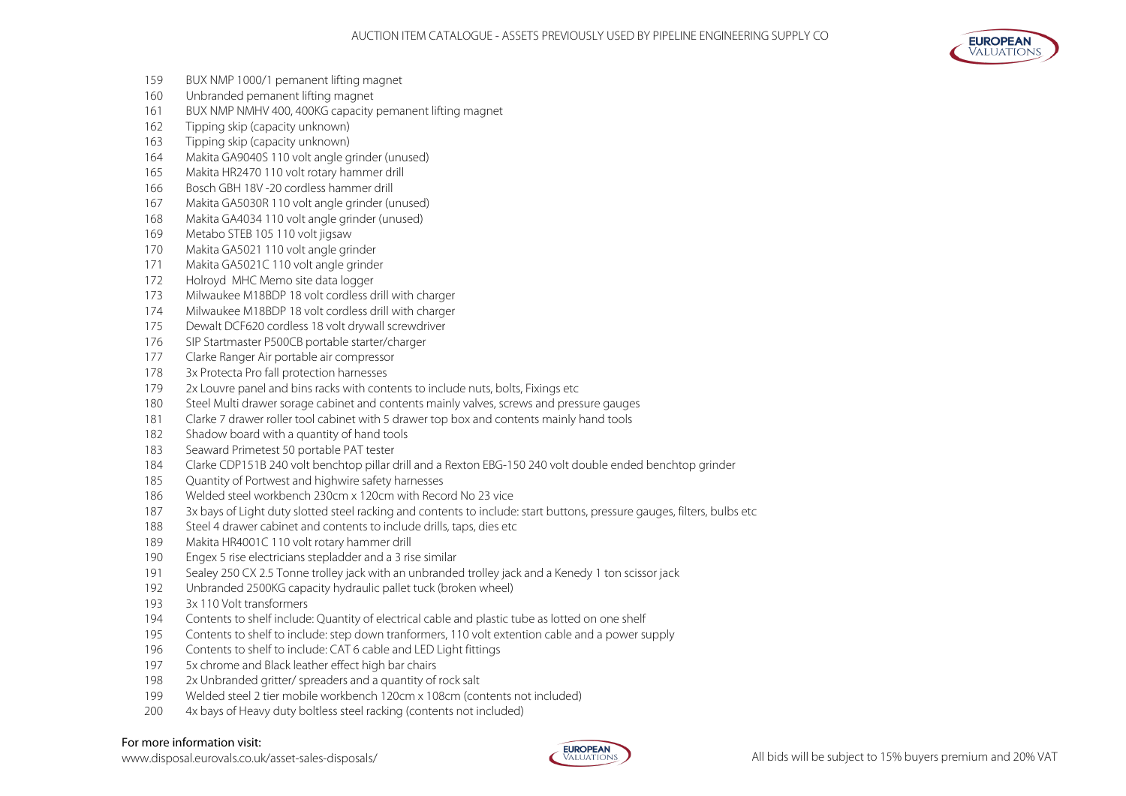

- BUX NMP 1000/1 pemanent lifting magnet
- Unbranded pemanent lifting magnet
- BUX NMP NMHV 400, 400KG capacity pemanent lifting magnet
- Tipping skip (capacity unknown)
- Tipping skip (capacity unknown)
- Makita GA9040S 110 volt angle grinder (unused)
- Makita HR2470 110 volt rotary hammer drill
- Bosch GBH 18V -20 cordless hammer drill
- Makita GA5030R 110 volt angle grinder (unused)
- Makita GA4034 110 volt angle grinder (unused)
- Metabo STEB 105 110 volt jigsaw
- Makita GA5021 110 volt angle grinder
- Makita GA5021C 110 volt angle grinder
- Holroyd MHC Memo site data logger
- Milwaukee M18BDP 18 volt cordless drill with charger
- Milwaukee M18BDP 18 volt cordless drill with charger
- Dewalt DCF620 cordless 18 volt drywall screwdriver
- SIP Startmaster P500CB portable starter/charger
- Clarke Ranger Air portable air compressor
- 3x Protecta Pro fall protection harnesses
- 2x Louvre panel and bins racks with contents to include nuts, bolts, Fixings etc
- Steel Multi drawer sorage cabinet and contents mainly valves, screws and pressure gauges
- Clarke 7 drawer roller tool cabinet with 5 drawer top box and contents mainly hand tools
- 182 Shadow board with a quantity of hand tools
- Seaward Primetest 50 portable PAT tester
- Clarke CDP151B 240 volt benchtop pillar drill and a Rexton EBG-150 240 volt double ended benchtop grinder
- Quantity of Portwest and highwire safety harnesses
- Welded steel workbench 230cm x 120cm with Record No 23 vice
- 187 3x bays of Light duty slotted steel racking and contents to include: start buttons, pressure gauges, filters, bulbs etc
- 188 Steel 4 drawer cabinet and contents to include drills, taps, dies etc
- Makita HR4001C 110 volt rotary hammer drill
- Engex 5 rise electricians stepladder and a 3 rise similar
- Sealey 250 CX 2.5 Tonne trolley jack with an unbranded trolley jack and a Kenedy 1 ton scissor jack
- Unbranded 2500KG capacity hydraulic pallet tuck (broken wheel)
- 3x 110 Volt transformers
- Contents to shelf include: Quantity of electrical cable and plastic tube as lotted on one shelf
- Contents to shelf to include: step down tranformers, 110 volt extention cable and a power supply
- Contents to shelf to include: CAT 6 cable and LED Light fittings
- 5x chrome and Black leather effect high bar chairs
- 2x Unbranded gritter/ spreaders and a quantity of rock salt
- Welded steel 2 tier mobile workbench 120cm x 108cm (contents not included)
- 200 4x bays of Heavy duty boltless steel racking (contents not included)

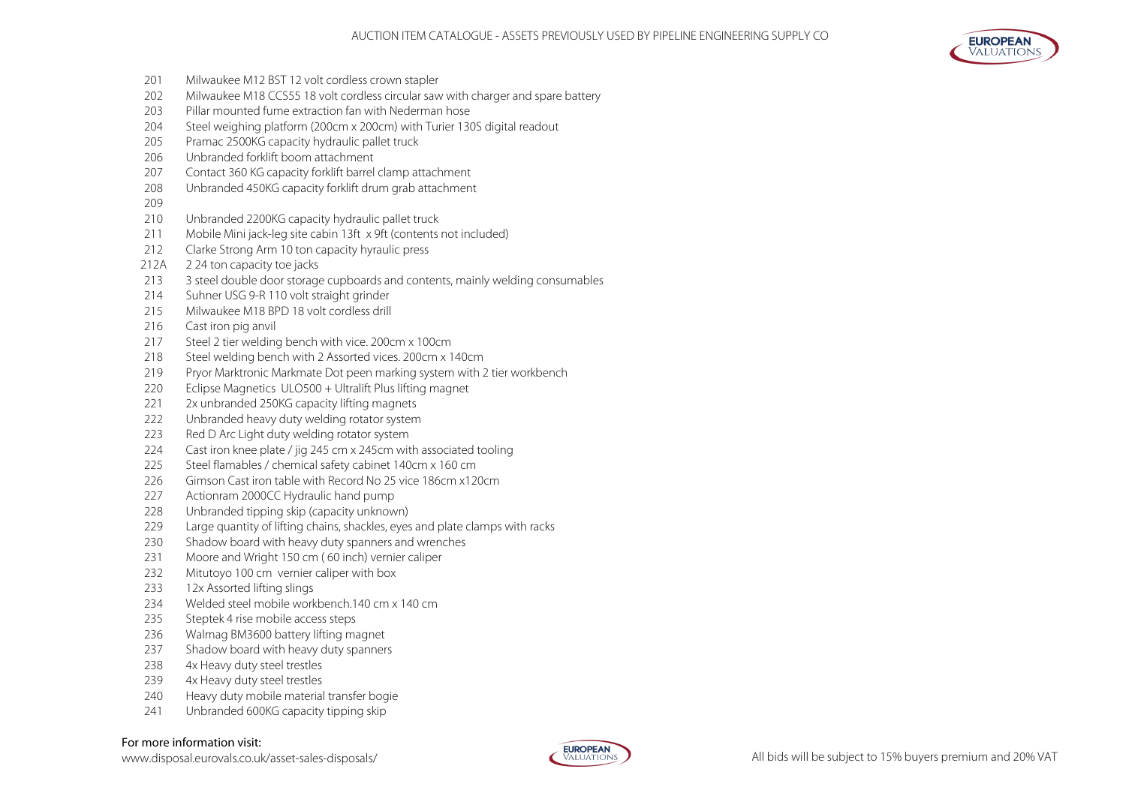

- Milwaukee M12 BST 12 volt cordless crown stapler
- 202 Milwaukee M18 CCS55 18 volt cordless circular saw with charger and spare battery
- Pillar mounted fume extraction fan with Nederman hose
- Steel weighing platform (200cm x 200cm) with Turier 130S digital readout
- Pramac 2500KG capacity hydraulic pallet truck
- Unbranded forklift boom attachment
- Contact 360 KG capacity forklift barrel clamp attachment
- Unbranded 450KG capacity forklift drum grab attachment
- 
- Unbranded 2200KG capacity hydraulic pallet truck
- 211 Mobile Mini jack-leg site cabin 13ft x 9ft (contents not included)
- Clarke Strong Arm 10 ton capacity hyraulic press
- 212A 2 24 ton capacity toe jacks
- 213 3 steel double door storage cupboards and contents, mainly welding consumables
- Suhner USG 9-R 110 volt straight grinder
- Milwaukee M18 BPD 18 volt cordless drill
- Cast iron pig anvil
- Steel 2 tier welding bench with vice. 200cm x 100cm
- Steel welding bench with 2 Assorted vices. 200cm x 140cm
- Pryor Marktronic Markmate Dot peen marking system with 2 tier workbench
- Eclipse Magnetics ULO500 + Ultralift Plus lifting magnet
- 221 2x unbranded 250KG capacity lifting magnets
- Unbranded heavy duty welding rotator system
- 223 Red D Arc Light duty welding rotator system
- Cast iron knee plate / jig 245 cm x 245cm with associated tooling
- Steel flamables / chemical safety cabinet 140cm x 160 cm
- 226 Gimson Cast iron table with Record No 25 vice 186cm x120cm
- Actionram 2000CC Hydraulic hand pump
- Unbranded tipping skip (capacity unknown)
- Large quantity of lifting chains, shackles, eyes and plate clamps with racks
- Shadow board with heavy duty spanners and wrenches
- Moore and Wright 150 cm ( 60 inch) vernier caliper
- Mitutoyo 100 cm vernier caliper with box
- 12x Assorted lifting slings
- Welded steel mobile workbench.140 cm x 140 cm
- 235 Steptek 4 rise mobile access steps
- Walmag BM3600 battery lifting magnet
- 237 Shadow board with heavy duty spanners
- 238 4x Heavy duty steel trestles
- 239 4x Heavy duty steel trestles
- 240 Heavy duty mobile material transfer bogie
- Unbranded 600KG capacity tipping skip

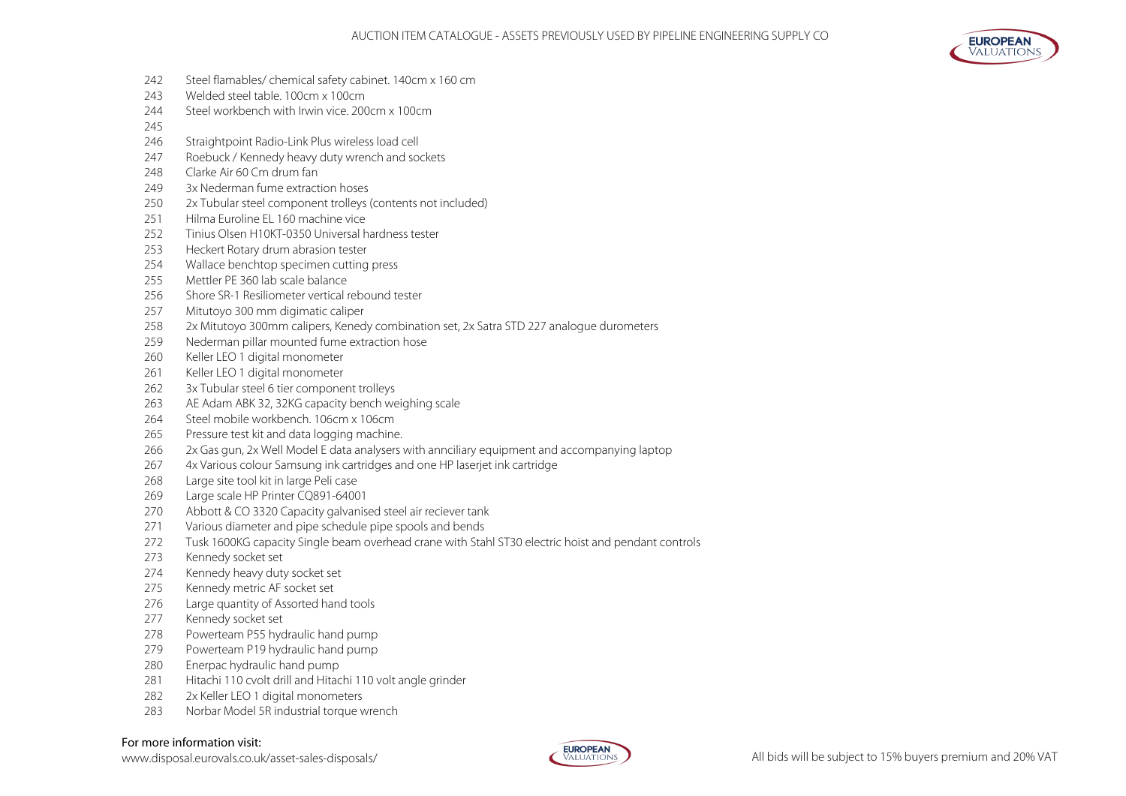- Steel flamables/ chemical safety cabinet. 140cm x 160 cm
- Welded steel table. 100cm x 100cm
- Steel workbench with Irwin vice. 200cm x 100cm
- 
- Straightpoint Radio-Link Plus wireless load cell
- Roebuck / Kennedy heavy duty wrench and sockets
- Clarke Air 60 Cm drum fan
- 3x Nederman fume extraction hoses
- 2x Tubular steel component trolleys (contents not included)
- 251 Hilma Euroline EL 160 machine vice
- Tinius Olsen H10KT-0350 Universal hardness tester
- Heckert Rotary drum abrasion tester
- Wallace benchtop specimen cutting press
- Mettler PE 360 lab scale balance
- Shore SR-1 Resiliometer vertical rebound tester
- Mitutoyo 300 mm digimatic caliper
- 2x Mitutoyo 300mm calipers, Kenedy combination set, 2x Satra STD 227 analogue durometers
- Nederman pillar mounted fume extraction hose
- Keller LEO 1 digital monometer
- 261 Keller LEO 1 digital monometer
- 262 3x Tubular steel 6 tier component trolleys
- AE Adam ABK 32, 32KG capacity bench weighing scale
- Steel mobile workbench. 106cm x 106cm
- Pressure test kit and data logging machine.
- 2x Gas gun, 2x Well Model E data analysers with annciliary equipment and accompanying laptop
- 4x Various colour Samsung ink cartridges and one HP laserjet ink cartridge
- Large site tool kit in large Peli case
- Large scale HP Printer CQ891-64001
- Abbott & CO 3320 Capacity galvanised steel air reciever tank
- Various diameter and pipe schedule pipe spools and bends
- Tusk 1600KG capacity Single beam overhead crane with Stahl ST30 electric hoist and pendant controls
- Kennedy socket set
- Kennedy heavy duty socket set
- Kennedy metric AF socket set
- Large quantity of Assorted hand tools
- Kennedy socket set
- Powerteam P55 hydraulic hand pump
- Powerteam P19 hydraulic hand pump
- Enerpac hydraulic hand pump
- 281 Hitachi 110 cvolt drill and Hitachi 110 volt angle grinder
- 282 2x Keller LEO 1 digital monometers
- Norbar Model 5R industrial torque wrench

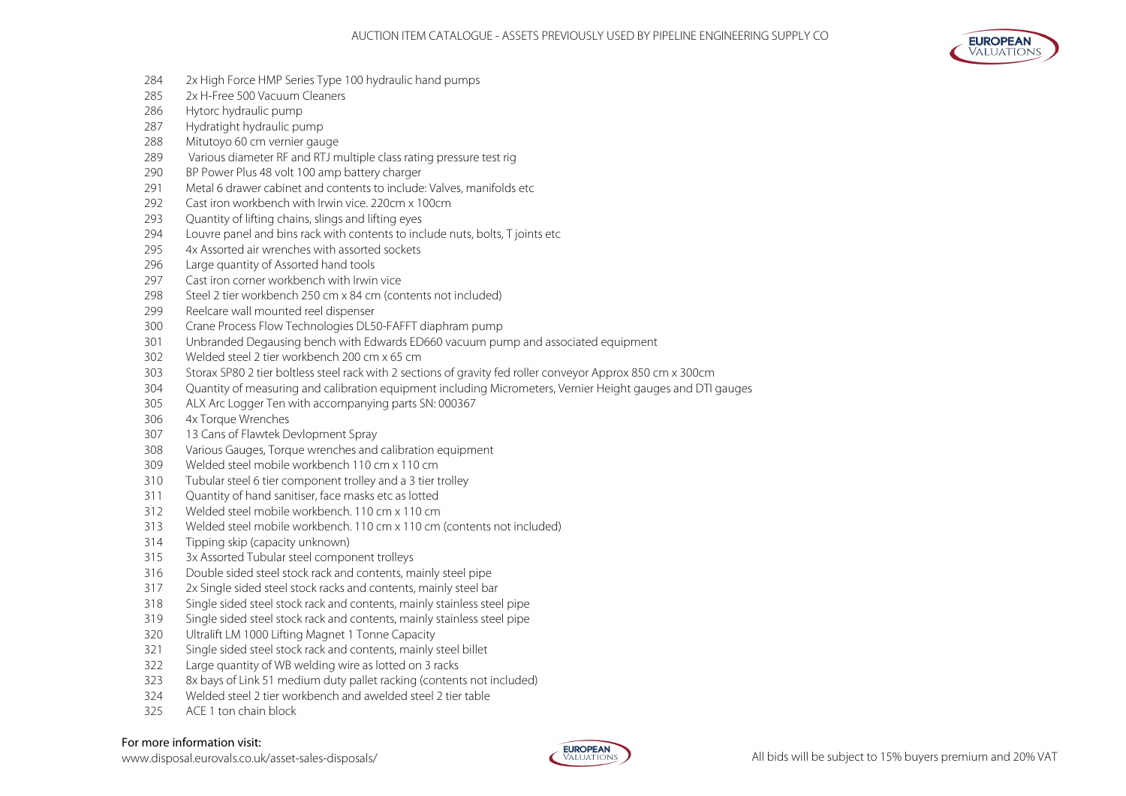

- 2x High Force HMP Series Type 100 hydraulic hand pumps
- 2x H-Free 500 Vacuum Cleaners
- Hytorc hydraulic pump
- Hydratight hydraulic pump
- Mitutoyo 60 cm vernier gauge
- 289 Various diameter RF and RTJ multiple class rating pressure test rig
- BP Power Plus 48 volt 100 amp battery charger
- 291 Metal 6 drawer cabinet and contents to include: Valves, manifolds etc.
- 292 Cast iron workbench with Irwin vice. 220cm x 100cm
- Quantity of lifting chains, slings and lifting eyes
- Louvre panel and bins rack with contents to include nuts, bolts, T joints etc
- 4x Assorted air wrenches with assorted sockets
- Large quantity of Assorted hand tools
- 297 Cast iron corner workbench with Irwin vice
- Steel 2 tier workbench 250 cm x 84 cm (contents not included)
- Reelcare wall mounted reel dispenser
- Crane Process Flow Technologies DL50-FAFFT diaphram pump
- Unbranded Degausing bench with Edwards ED660 vacuum pump and associated equipment
- Welded steel 2 tier workbench 200 cm x 65 cm
- Storax SP80 2 tier boltless steel rack with 2 sections of gravity fed roller conveyor Approx 850 cm x 300cm
- Quantity of measuring and calibration equipment including Micrometers, Vernier Height gauges and DTI gauges
- ALX Arc Logger Ten with accompanying parts SN: 000367
- 4x Torque Wrenches
- 13 Cans of Flawtek Devlopment Spray
- Various Gauges, Torque wrenches and calibration equipment
- Welded steel mobile workbench 110 cm x 110 cm
- Tubular steel 6 tier component trolley and a 3 tier trolley
- Quantity of hand sanitiser, face masks etc as lotted
- Welded steel mobile workbench. 110 cm x 110 cm
- Welded steel mobile workbench. 110 cm x 110 cm (contents not included)
- Tipping skip (capacity unknown)
- 3x Assorted Tubular steel component trolleys
- Double sided steel stock rack and contents, mainly steel pipe
- 2x Single sided steel stock racks and contents, mainly steel bar
- Single sided steel stock rack and contents, mainly stainless steel pipe
- Single sided steel stock rack and contents, mainly stainless steel pipe
- Ultralift LM 1000 Lifting Magnet 1 Tonne Capacity
- Single sided steel stock rack and contents, mainly steel billet
- Large quantity of WB welding wire as lotted on 3 racks
- 8x bays of Link 51 medium duty pallet racking (contents not included)
- Welded steel 2 tier workbench and awelded steel 2 tier table
- ACE 1 ton chain block

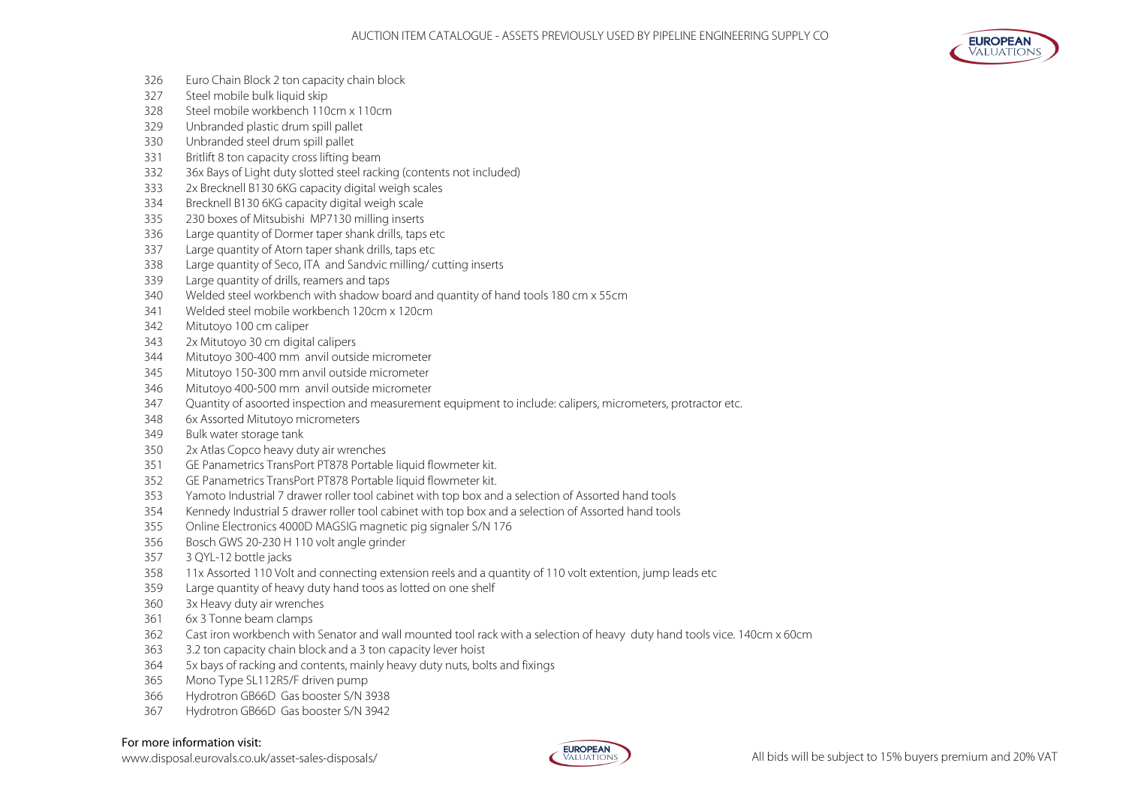

- Euro Chain Block 2 ton capacity chain block
- Steel mobile bulk liquid skip
- Steel mobile workbench 110cm x 110cm
- Unbranded plastic drum spill pallet
- Unbranded steel drum spill pallet
- Britlift 8 ton capacity cross lifting beam
- 36x Bays of Light duty slotted steel racking (contents not included)
- 2x Brecknell B130 6KG capacity digital weigh scales
- Brecknell B130 6KG capacity digital weigh scale
- 230 boxes of Mitsubishi MP7130 milling inserts
- Large quantity of Dormer taper shank drills, taps etc
- Large quantity of Atorn taper shank drills, taps etc
- Large quantity of Seco, ITA and Sandvic milling/ cutting inserts
- Large quantity of drills, reamers and taps
- Welded steel workbench with shadow board and quantity of hand tools 180 cm x 55cm
- Welded steel mobile workbench 120cm x 120cm
- Mitutoyo 100 cm caliper
- 2x Mitutoyo 30 cm digital calipers
- Mitutoyo 300-400 mm anvil outside micrometer
- Mitutoyo 150-300 mm anvil outside micrometer
- Mitutoyo 400-500 mm anvil outside micrometer
- Quantity of asoorted inspection and measurement equipment to include: calipers, micrometers, protractor etc.
- 6x Assorted Mitutoyo micrometers
- Bulk water storage tank
- 2x Atlas Copco heavy duty air wrenches
- GE Panametrics TransPort PT878 Portable liquid flowmeter kit.
- GE Panametrics TransPort PT878 Portable liquid flowmeter kit.
- Yamoto Industrial 7 drawer roller tool cabinet with top box and a selection of Assorted hand tools
- Kennedy Industrial 5 drawer roller tool cabinet with top box and a selection of Assorted hand tools
- Online Electronics 4000D MAGSIG magnetic pig signaler S/N 176
- Bosch GWS 20-230 H 110 volt angle grinder
- 3 QYL-12 bottle jacks
- 11x Assorted 110 Volt and connecting extension reels and a quantity of 110 volt extention, jump leads etc
- Large quantity of heavy duty hand toos as lotted on one shelf
- 3x Heavy duty air wrenches
- 6x 3 Tonne beam clamps
- Cast iron workbench with Senator and wall mounted tool rack with a selection of heavy duty hand tools vice. 140cm x 60cm
- 3.2 ton capacity chain block and a 3 ton capacity lever hoist
- 5x bays of racking and contents, mainly heavy duty nuts, bolts and fixings
- Mono Type SL112R5/F driven pump
- Hydrotron GB66D Gas booster S/N 3938
- Hydrotron GB66D Gas booster S/N 3942

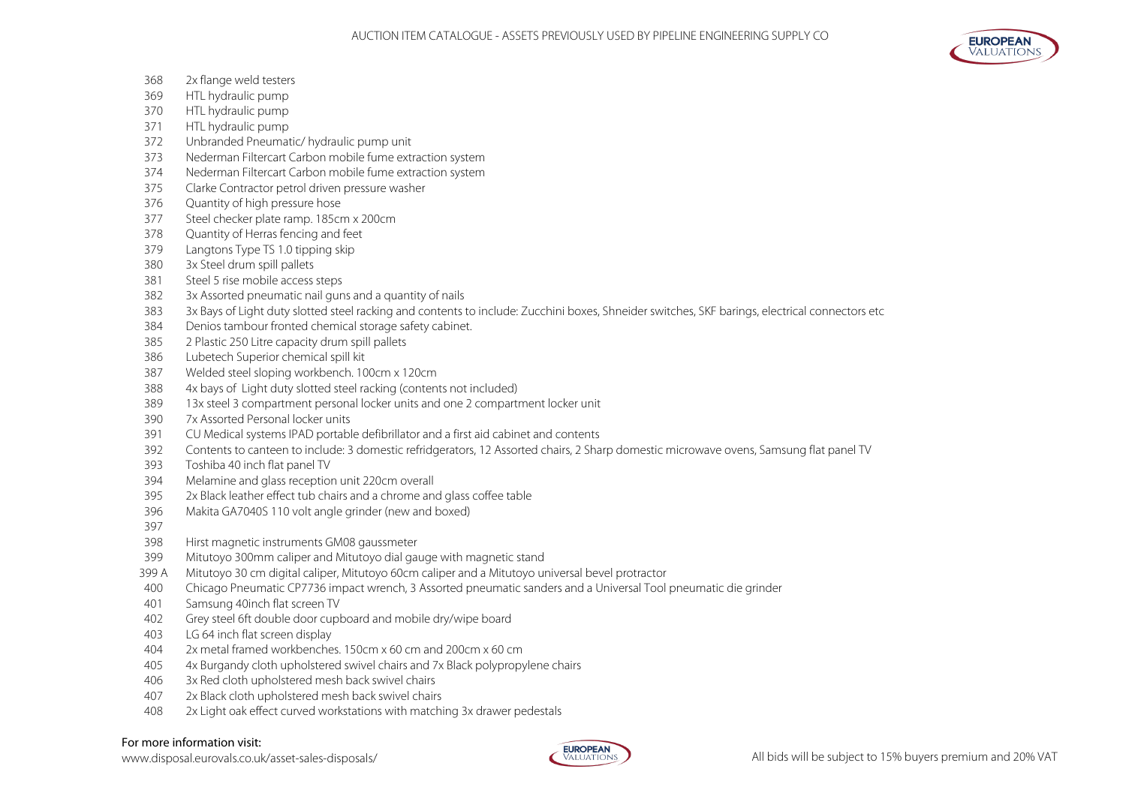

- 2x flange weld testers
- HTL hydraulic pump
- HTL hydraulic pump
- HTL hydraulic pump
- Unbranded Pneumatic/ hydraulic pump unit
- Nederman Filtercart Carbon mobile fume extraction system
- Nederman Filtercart Carbon mobile fume extraction system
- Clarke Contractor petrol driven pressure washer
- Quantity of high pressure hose
- Steel checker plate ramp. 185cm x 200cm
- Quantity of Herras fencing and feet
- Langtons Type TS 1.0 tipping skip
- 3x Steel drum spill pallets
- Steel 5 rise mobile access steps
- 3x Assorted pneumatic nail guns and a quantity of nails
- 3x Bays of Light duty slotted steel racking and contents to include: Zucchini boxes, Shneider switches, SKF barings, electrical connectors etc
- Denios tambour fronted chemical storage safety cabinet.
- 2 Plastic 250 Litre capacity drum spill pallets
- Lubetech Superior chemical spill kit
- Welded steel sloping workbench. 100cm x 120cm
- 4x bays of Light duty slotted steel racking (contents not included)
- 13x steel 3 compartment personal locker units and one 2 compartment locker unit
- 7x Assorted Personal locker units
- CU Medical systems IPAD portable defibrillator and a first aid cabinet and contents
- Contents to canteen to include: 3 domestic refridgerators, 12 Assorted chairs, 2 Sharp domestic microwave ovens, Samsung flat panel TV
- Toshiba 40 inch flat panel TV
- Melamine and glass reception unit 220cm overall
- 2x Black leather effect tub chairs and a chrome and glass coffee table
- Makita GA7040S 110 volt angle grinder (new and boxed)
- 
- Hirst magnetic instruments GM08 gaussmeter
- Mitutoyo 300mm caliper and Mitutoyo dial gauge with magnetic stand
- 399 A Mitutoyo 30 cm digital caliper, Mitutoyo 60cm caliper and a Mitutoyo universal bevel protractor
- Chicago Pneumatic CP7736 impact wrench, 3 Assorted pneumatic sanders and a Universal Tool pneumatic die grinder
- Samsung 40inch flat screen TV
- Grey steel 6ft double door cupboard and mobile dry/wipe board
- LG 64 inch flat screen display
- 2x metal framed workbenches. 150cm x 60 cm and 200cm x 60 cm
- 405 4x Burgandy cloth upholstered swivel chairs and 7x Black polypropylene chairs
- 3x Red cloth upholstered mesh back swivel chairs
- 2x Black cloth upholstered mesh back swivel chairs
- 2x Light oak effect curved workstations with matching 3x drawer pedestals

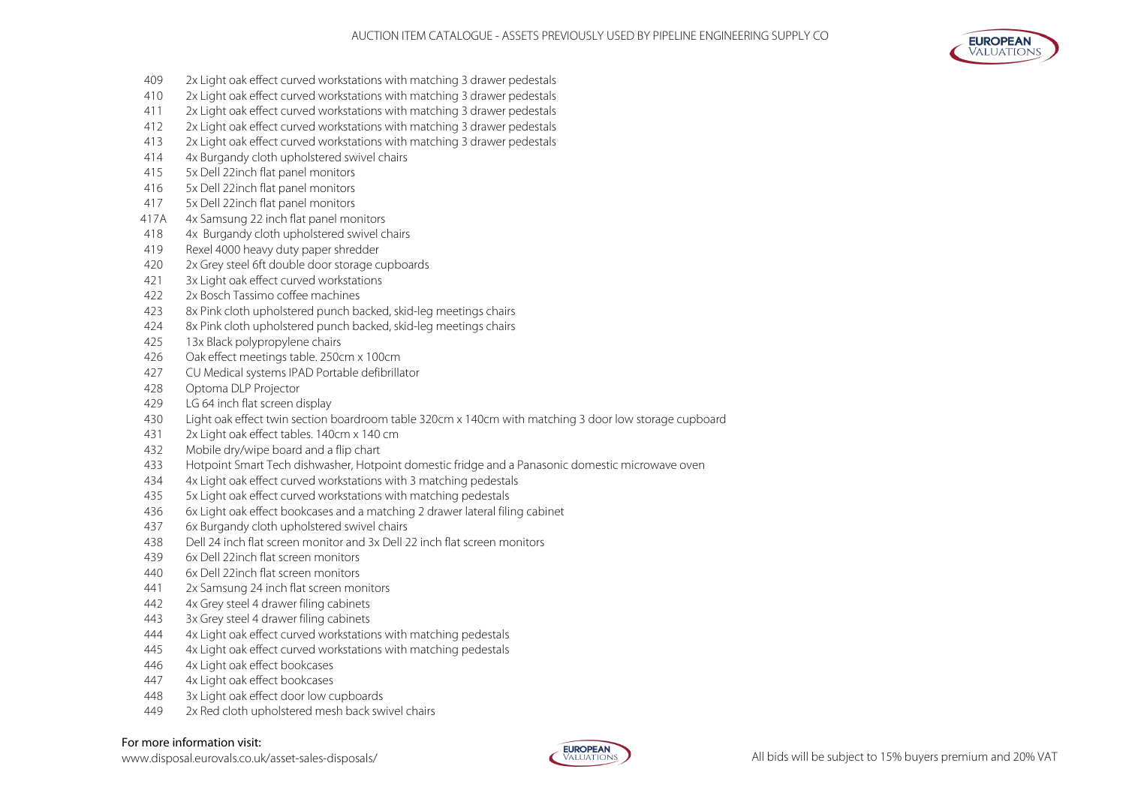

- 2x Light oak effect curved workstations with matching 3 drawer pedestals
- 2x Light oak effect curved workstations with matching 3 drawer pedestals
- 2x Light oak effect curved workstations with matching 3 drawer pedestals
- 2x Light oak effect curved workstations with matching 3 drawer pedestals
- 2x Light oak effect curved workstations with matching 3 drawer pedestals
- 4x Burgandy cloth upholstered swivel chairs
- 5x Dell 22inch flat panel monitors
- 5x Dell 22inch flat panel monitors
- 5x Dell 22inch flat panel monitors
- 417A 4x Samsung 22 inch flat panel monitors
- 4x Burgandy cloth upholstered swivel chairs
- Rexel 4000 heavy duty paper shredder
- 2x Grey steel 6ft double door storage cupboards
- 3x Light oak effect curved workstations
- 2x Bosch Tassimo coffee machines
- 8x Pink cloth upholstered punch backed, skid-leg meetings chairs
- 8x Pink cloth upholstered punch backed, skid-leg meetings chairs
- 13x Black polypropylene chairs
- Oak effect meetings table. 250cm x 100cm
- CU Medical systems IPAD Portable defibrillator
- Optoma DLP Projector
- LG 64 inch flat screen display
- Light oak effect twin section boardroom table 320cm x 140cm with matching 3 door low storage cupboard
- 2x Light oak effect tables. 140cm x 140 cm
- Mobile dry/wipe board and a flip chart
- Hotpoint Smart Tech dishwasher, Hotpoint domestic fridge and a Panasonic domestic microwave oven
- 4x Light oak effect curved workstations with 3 matching pedestals
- 5x Light oak effect curved workstations with matching pedestals
- 6x Light oak effect bookcases and a matching 2 drawer lateral filing cabinet
- 6x Burgandy cloth upholstered swivel chairs
- Dell 24 inch flat screen monitor and 3x Dell 22 inch flat screen monitors
- 6x Dell 22inch flat screen monitors
- 6x Dell 22inch flat screen monitors
- 2x Samsung 24 inch flat screen monitors
- 4x Grey steel 4 drawer filing cabinets
- 3x Grey steel 4 drawer filing cabinets
- 4x Light oak effect curved workstations with matching pedestals
- 4x Light oak effect curved workstations with matching pedestals
- 4x Light oak effect bookcases
- 4x Light oak effect bookcases
- 3x Light oak effect door low cupboards
- 2x Red cloth upholstered mesh back swivel chairs